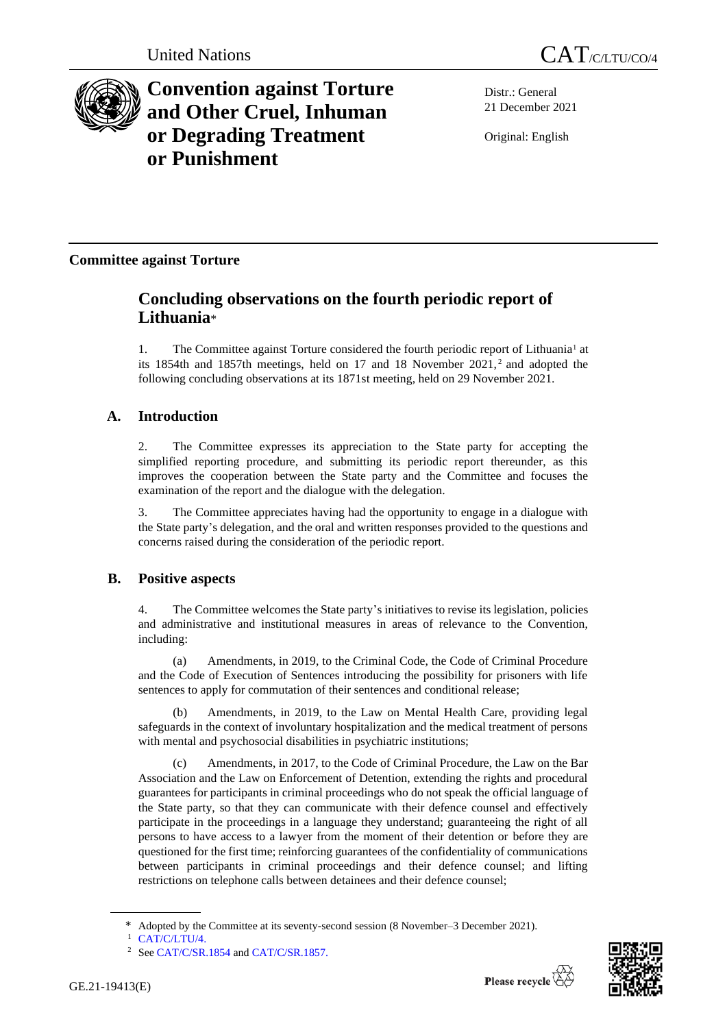

# **Convention against Torture and Other Cruel, Inhuman or Degrading Treatment or Punishment**

Distr.: General 21 December 2021

Original: English

# **Committee against Torture**

# **Concluding observations on the fourth periodic report of Lithuania**\*

1. The Committee against Torture considered the fourth periodic report of Lithuania<sup>1</sup> at its 1854th and 1857th meetings, held on 17 and 18 November 2021, <sup>2</sup> and adopted the following concluding observations at its 1871st meeting, held on 29 November 2021.

# **A. Introduction**

2. The Committee expresses its appreciation to the State party for accepting the simplified reporting procedure, and submitting its periodic report thereunder, as this improves the cooperation between the State party and the Committee and focuses the examination of the report and the dialogue with the delegation.

3. The Committee appreciates having had the opportunity to engage in a dialogue with the State party's delegation, and the oral and written responses provided to the questions and concerns raised during the consideration of the periodic report.

### **B. Positive aspects**

4. The Committee welcomes the State party's initiatives to revise its legislation, policies and administrative and institutional measures in areas of relevance to the Convention, including:

(a) Amendments, in 2019, to the Criminal Code, the Code of Criminal Procedure and the Code of Execution of Sentences introducing the possibility for prisoners with life sentences to apply for commutation of their sentences and conditional release;

(b) Amendments, in 2019, to the Law on Mental Health Care, providing legal safeguards in the context of involuntary hospitalization and the medical treatment of persons with mental and psychosocial disabilities in psychiatric institutions;

Amendments, in 2017, to the Code of Criminal Procedure, the Law on the Bar Association and the Law on Enforcement of Detention, extending the rights and procedural guarantees for participants in criminal proceedings who do not speak the official language of the State party, so that they can communicate with their defence counsel and effectively participate in the proceedings in a language they understand; guaranteeing the right of all persons to have access to a lawyer from the moment of their detention or before they are questioned for the first time; reinforcing guarantees of the confidentiality of communications between participants in criminal proceedings and their defence counsel; and lifting restrictions on telephone calls between detainees and their defence counsel;

<sup>\*</sup> Adopted by the Committee at its seventy-second session (8 November–3 December 2021).

<sup>1</sup> [CAT/C/LTU/4.](http://undocs.org/en/CAT/C/LTU/4.)

<sup>&</sup>lt;sup>2</sup> Se[e CAT/C/SR.1854](http://undocs.org/en/CAT/C/SR.1854) an[d CAT/C/SR.1857.](http://undocs.org/en/CAT/C/SR.1857.)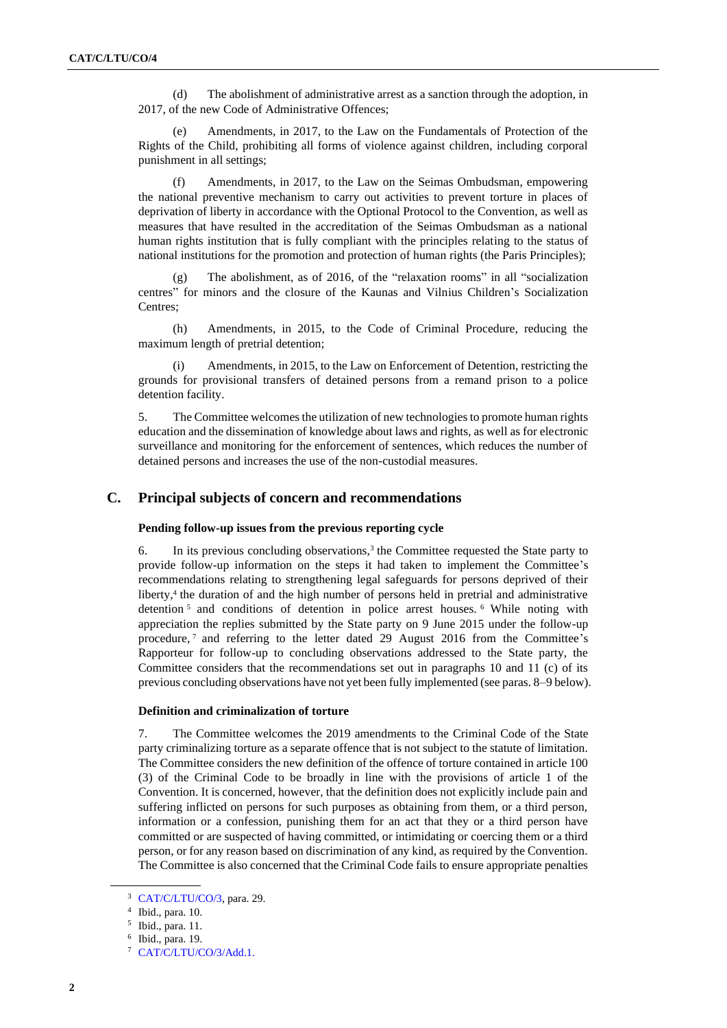(d) The abolishment of administrative arrest as a sanction through the adoption, in 2017, of the new Code of Administrative Offences;

Amendments, in 2017, to the Law on the Fundamentals of Protection of the Rights of the Child, prohibiting all forms of violence against children, including corporal punishment in all settings;

(f) Amendments, in 2017, to the Law on the Seimas Ombudsman, empowering the national preventive mechanism to carry out activities to prevent torture in places of deprivation of liberty in accordance with the Optional Protocol to the Convention, as well as measures that have resulted in the accreditation of the Seimas Ombudsman as a national human rights institution that is fully compliant with the principles relating to the status of national institutions for the promotion and protection of human rights (the Paris Principles);

(g) The abolishment, as of 2016, of the "relaxation rooms" in all "socialization centres" for minors and the closure of the Kaunas and Vilnius Children's Socialization Centres;

(h) Amendments, in 2015, to the Code of Criminal Procedure, reducing the maximum length of pretrial detention;

(i) Amendments, in 2015, to the Law on Enforcement of Detention, restricting the grounds for provisional transfers of detained persons from a remand prison to a police detention facility.

5. The Committee welcomes the utilization of new technologies to promote human rights education and the dissemination of knowledge about laws and rights, as well as for electronic surveillance and monitoring for the enforcement of sentences, which reduces the number of detained persons and increases the use of the non-custodial measures.

#### **C. Principal subjects of concern and recommendations**

#### **Pending follow-up issues from the previous reporting cycle**

6. In its previous concluding observations, $3$  the Committee requested the State party to provide follow-up information on the steps it had taken to implement the Committee's recommendations relating to strengthening legal safeguards for persons deprived of their liberty,<sup>4</sup> the duration of and the high number of persons held in pretrial and administrative detention <sup>5</sup> and conditions of detention in police arrest houses. <sup>6</sup> While noting with appreciation the replies submitted by the State party on 9 June 2015 under the follow-up procedure,<sup>7</sup> and referring to the letter dated 29 August 2016 from the Committee's Rapporteur for follow-up to concluding observations addressed to the State party, the Committee considers that the recommendations set out in paragraphs 10 and 11 (c) of its previous concluding observations have not yet been fully implemented (see paras. 8–9 below).

#### **Definition and criminalization of torture**

7. The Committee welcomes the 2019 amendments to the Criminal Code of the State party criminalizing torture as a separate offence that is not subject to the statute of limitation. The Committee considers the new definition of the offence of torture contained in article 100 (3) of the Criminal Code to be broadly in line with the provisions of article 1 of the Convention. It is concerned, however, that the definition does not explicitly include pain and suffering inflicted on persons for such purposes as obtaining from them, or a third person, information or a confession, punishing them for an act that they or a third person have committed or are suspected of having committed, or intimidating or coercing them or a third person, or for any reason based on discrimination of any kind, as required by the Convention. The Committee is also concerned that the Criminal Code fails to ensure appropriate penalties

<sup>3</sup> [CAT/C/LTU/CO/3,](http://undocs.org/en/CAT/C/LTU/CO/3) para. 29.

<sup>4</sup> Ibid., para. 10.

<sup>5</sup> Ibid., para. 11.

<sup>6</sup> Ibid., para. 19.

<sup>7</sup> [CAT/C/LTU/CO/3/Add.1.](http://undocs.org/en/CAT/C/LTU/CO/3/Add.1.)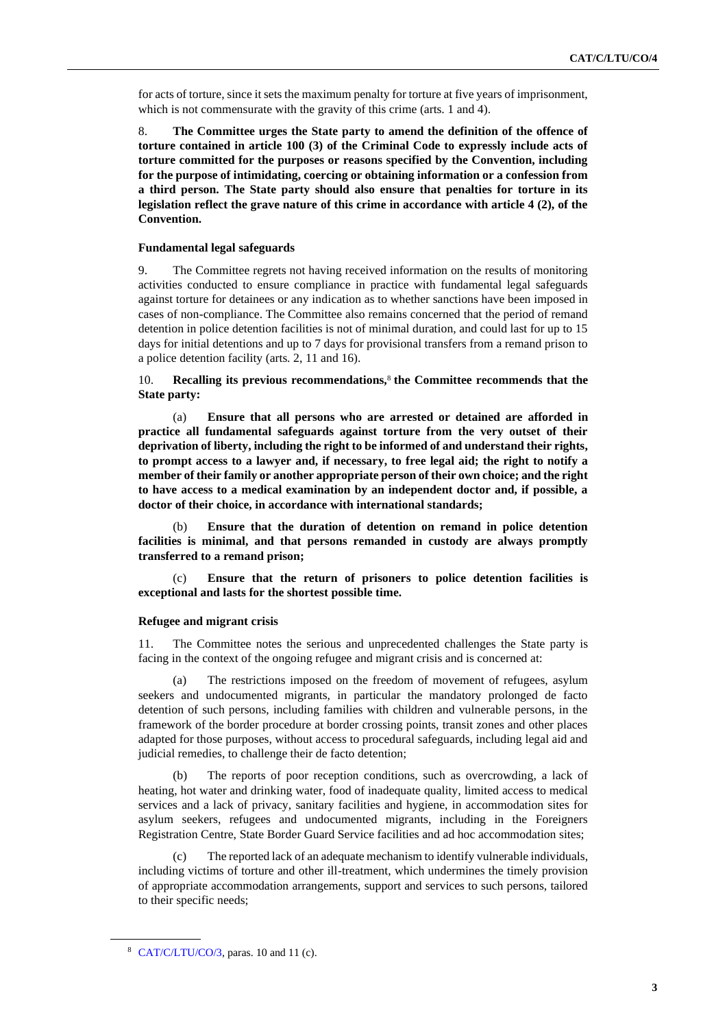for acts of torture, since it sets the maximum penalty for torture at five years of imprisonment, which is not commensurate with the gravity of this crime (arts. 1 and 4).

8. **The Committee urges the State party to amend the definition of the offence of torture contained in article 100 (3) of the Criminal Code to expressly include acts of torture committed for the purposes or reasons specified by the Convention, including for the purpose of intimidating, coercing or obtaining information or a confession from a third person. The State party should also ensure that penalties for torture in its legislation reflect the grave nature of this crime in accordance with article 4 (2), of the Convention.**

#### **Fundamental legal safeguards**

9. The Committee regrets not having received information on the results of monitoring activities conducted to ensure compliance in practice with fundamental legal safeguards against torture for detainees or any indication as to whether sanctions have been imposed in cases of non-compliance. The Committee also remains concerned that the period of remand detention in police detention facilities is not of minimal duration, and could last for up to 15 days for initial detentions and up to 7 days for provisional transfers from a remand prison to a police detention facility (arts. 2, 11 and 16).

10. **Recalling its previous recommendations,**<sup>8</sup> **the Committee recommends that the State party:**

(a) **Ensure that all persons who are arrested or detained are afforded in practice all fundamental safeguards against torture from the very outset of their deprivation of liberty, including the right to be informed of and understand their rights, to prompt access to a lawyer and, if necessary, to free legal aid; the right to notify a member of their family or another appropriate person of their own choice; and the right to have access to a medical examination by an independent doctor and, if possible, a doctor of their choice, in accordance with international standards;**

(b) **Ensure that the duration of detention on remand in police detention facilities is minimal, and that persons remanded in custody are always promptly transferred to a remand prison;** 

Ensure that the return of prisoners to police detention facilities is **exceptional and lasts for the shortest possible time.** 

#### **Refugee and migrant crisis**

11. The Committee notes the serious and unprecedented challenges the State party is facing in the context of the ongoing refugee and migrant crisis and is concerned at:

The restrictions imposed on the freedom of movement of refugees, asylum seekers and undocumented migrants, in particular the mandatory prolonged de facto detention of such persons, including families with children and vulnerable persons, in the framework of the border procedure at border crossing points, transit zones and other places adapted for those purposes, without access to procedural safeguards, including legal aid and judicial remedies, to challenge their de facto detention;

(b) The reports of poor reception conditions, such as overcrowding, a lack of heating, hot water and drinking water, food of inadequate quality, limited access to medical services and a lack of privacy, sanitary facilities and hygiene, in accommodation sites for asylum seekers, refugees and undocumented migrants, including in the Foreigners Registration Centre, State Border Guard Service facilities and ad hoc accommodation sites;

(c) The reported lack of an adequate mechanism to identify vulnerable individuals, including victims of torture and other ill-treatment, which undermines the timely provision of appropriate accommodation arrangements, support and services to such persons, tailored to their specific needs;

<sup>8</sup> [CAT/C/LTU/CO/3,](http://undocs.org/en/CAT/C/LTU/CO/3) paras. 10 and 11 (c).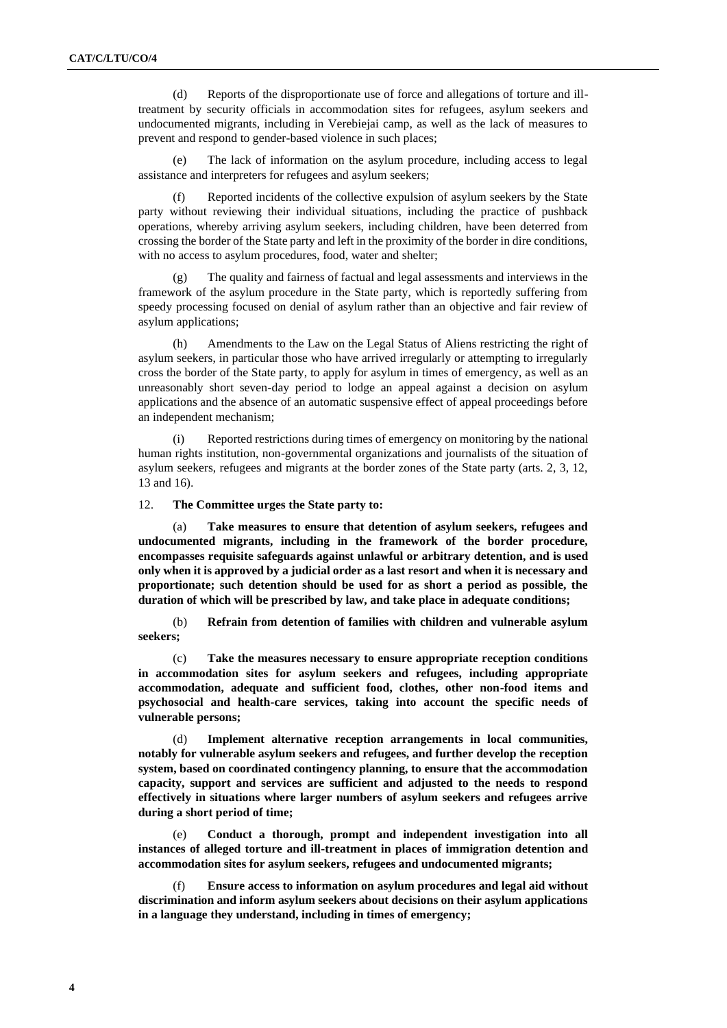(d) Reports of the disproportionate use of force and allegations of torture and illtreatment by security officials in accommodation sites for refugees, asylum seekers and undocumented migrants, including in Verebiejai camp, as well as the lack of measures to prevent and respond to gender-based violence in such places;

The lack of information on the asylum procedure, including access to legal assistance and interpreters for refugees and asylum seekers;

(f) Reported incidents of the collective expulsion of asylum seekers by the State party without reviewing their individual situations, including the practice of pushback operations, whereby arriving asylum seekers, including children, have been deterred from crossing the border of the State party and left in the proximity of the border in dire conditions, with no access to asylum procedures, food, water and shelter;

(g) The quality and fairness of factual and legal assessments and interviews in the framework of the asylum procedure in the State party, which is reportedly suffering from speedy processing focused on denial of asylum rather than an objective and fair review of asylum applications;

(h) Amendments to the Law on the Legal Status of Aliens restricting the right of asylum seekers, in particular those who have arrived irregularly or attempting to irregularly cross the border of the State party, to apply for asylum in times of emergency, as well as an unreasonably short seven-day period to lodge an appeal against a decision on asylum applications and the absence of an automatic suspensive effect of appeal proceedings before an independent mechanism;

(i) Reported restrictions during times of emergency on monitoring by the national human rights institution, non-governmental organizations and journalists of the situation of asylum seekers, refugees and migrants at the border zones of the State party (arts. 2, 3, 12, 13 and 16).

12. **The Committee urges the State party to:**

(a) **Take measures to ensure that detention of asylum seekers, refugees and undocumented migrants, including in the framework of the border procedure, encompasses requisite safeguards against unlawful or arbitrary detention, and is used only when it is approved by a judicial order as a last resort and when it is necessary and proportionate; such detention should be used for as short a period as possible, the duration of which will be prescribed by law, and take place in adequate conditions;**

(b) **Refrain from detention of families with children and vulnerable asylum seekers;** 

(c) **Take the measures necessary to ensure appropriate reception conditions in accommodation sites for asylum seekers and refugees, including appropriate accommodation, adequate and sufficient food, clothes, other non-food items and psychosocial and health-care services, taking into account the specific needs of vulnerable persons;**

(d) **Implement alternative reception arrangements in local communities, notably for vulnerable asylum seekers and refugees, and further develop the reception system, based on coordinated contingency planning, to ensure that the accommodation capacity, support and services are sufficient and adjusted to the needs to respond effectively in situations where larger numbers of asylum seekers and refugees arrive during a short period of time;**

(e) **Conduct a thorough, prompt and independent investigation into all instances of alleged torture and ill-treatment in places of immigration detention and accommodation sites for asylum seekers, refugees and undocumented migrants;**

(f) **Ensure access to information on asylum procedures and legal aid without discrimination and inform asylum seekers about decisions on their asylum applications in a language they understand, including in times of emergency;**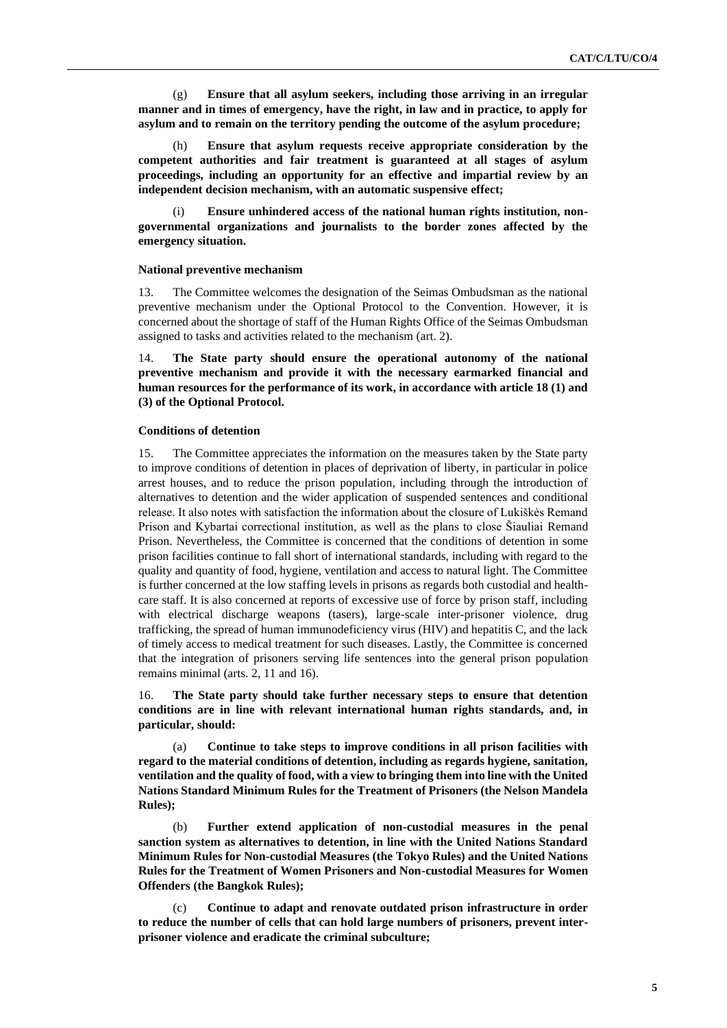(g) **Ensure that all asylum seekers, including those arriving in an irregular manner and in times of emergency, have the right, in law and in practice, to apply for asylum and to remain on the territory pending the outcome of the asylum procedure;** 

(h) **Ensure that asylum requests receive appropriate consideration by the competent authorities and fair treatment is guaranteed at all stages of asylum proceedings, including an opportunity for an effective and impartial review by an independent decision mechanism, with an automatic suspensive effect;**

Ensure unhindered access of the national human rights institution, non**governmental organizations and journalists to the border zones affected by the emergency situation.**

#### **National preventive mechanism**

13. The Committee welcomes the designation of the Seimas Ombudsman as the national preventive mechanism under the Optional Protocol to the Convention. However, it is concerned about the shortage of staff of the Human Rights Office of the Seimas Ombudsman assigned to tasks and activities related to the mechanism (art. 2).

14. **The State party should ensure the operational autonomy of the national preventive mechanism and provide it with the necessary earmarked financial and human resources for the performance of its work, in accordance with article 18 (1) and (3) of the Optional Protocol.**

#### **Conditions of detention**

15. The Committee appreciates the information on the measures taken by the State party to improve conditions of detention in places of deprivation of liberty, in particular in police arrest houses, and to reduce the prison population, including through the introduction of alternatives to detention and the wider application of suspended sentences and conditional release. It also notes with satisfaction the information about the closure of Lukiškės Remand Prison and Kybartai correctional institution, as well as the plans to close Šiauliai Remand Prison. Nevertheless, the Committee is concerned that the conditions of detention in some prison facilities continue to fall short of international standards, including with regard to the quality and quantity of food, hygiene, ventilation and access to natural light. The Committee is further concerned at the low staffing levels in prisons as regards both custodial and healthcare staff. It is also concerned at reports of excessive use of force by prison staff, including with electrical discharge weapons (tasers), large-scale inter-prisoner violence, drug trafficking, the spread of human immunodeficiency virus (HIV) and hepatitis C, and the lack of timely access to medical treatment for such diseases. Lastly, the Committee is concerned that the integration of prisoners serving life sentences into the general prison population remains minimal (arts. 2, 11 and 16).

16. **The State party should take further necessary steps to ensure that detention conditions are in line with relevant international human rights standards, and, in particular, should:**

(a) **Continue to take steps to improve conditions in all prison facilities with regard to the material conditions of detention, including as regards hygiene, sanitation, ventilation and the quality of food, with a view to bringing them into line with the United Nations Standard Minimum Rules for the Treatment of Prisoners (the Nelson Mandela Rules);**

(b) **Further extend application of non-custodial measures in the penal sanction system as alternatives to detention, in line with the United Nations Standard Minimum Rules for Non-custodial Measures (the Tokyo Rules) and the United Nations Rules for the Treatment of Women Prisoners and Non-custodial Measures for Women Offenders (the Bangkok Rules);**

(c) **Continue to adapt and renovate outdated prison infrastructure in order to reduce the number of cells that can hold large numbers of prisoners, prevent interprisoner violence and eradicate the criminal subculture;**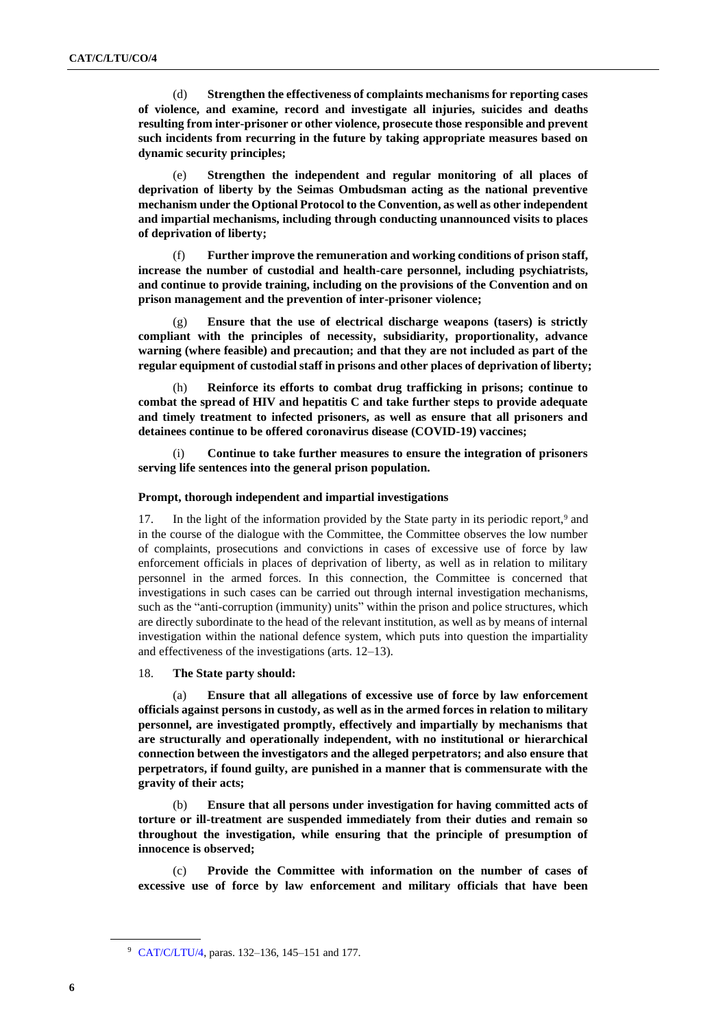(d) **Strengthen the effectiveness of complaints mechanisms for reporting cases of violence, and examine, record and investigate all injuries, suicides and deaths resulting from inter-prisoner or other violence, prosecute those responsible and prevent such incidents from recurring in the future by taking appropriate measures based on dynamic security principles;** 

(e) **Strengthen the independent and regular monitoring of all places of deprivation of liberty by the Seimas Ombudsman acting as the national preventive mechanism under the Optional Protocol to the Convention, as well as other independent and impartial mechanisms, including through conducting unannounced visits to places of deprivation of liberty;**

(f) **Further improve the remuneration and working conditions of prison staff, increase the number of custodial and health-care personnel, including psychiatrists, and continue to provide training, including on the provisions of the Convention and on prison management and the prevention of inter-prisoner violence;**

(g) **Ensure that the use of electrical discharge weapons (tasers) is strictly compliant with the principles of necessity, subsidiarity, proportionality, advance warning (where feasible) and precaution; and that they are not included as part of the regular equipment of custodial staff in prisons and other places of deprivation of liberty;**

(h) **Reinforce its efforts to combat drug trafficking in prisons; continue to combat the spread of HIV and hepatitis C and take further steps to provide adequate and timely treatment to infected prisoners, as well as ensure that all prisoners and detainees continue to be offered coronavirus disease (COVID-19) vaccines;**

(i) **Continue to take further measures to ensure the integration of prisoners serving life sentences into the general prison population.** 

#### **Prompt, thorough independent and impartial investigations**

17. In the light of the information provided by the State party in its periodic report,<sup>9</sup> and in the course of the dialogue with the Committee, the Committee observes the low number of complaints, prosecutions and convictions in cases of excessive use of force by law enforcement officials in places of deprivation of liberty, as well as in relation to military personnel in the armed forces. In this connection, the Committee is concerned that investigations in such cases can be carried out through internal investigation mechanisms, such as the "anti-corruption (immunity) units" within the prison and police structures, which are directly subordinate to the head of the relevant institution, as well as by means of internal investigation within the national defence system, which puts into question the impartiality and effectiveness of the investigations (arts. 12–13).

18. **The State party should:**

(a) **Ensure that all allegations of excessive use of force by law enforcement officials against persons in custody, as well as in the armed forces in relation to military personnel, are investigated promptly, effectively and impartially by mechanisms that are structurally and operationally independent, with no institutional or hierarchical connection between the investigators and the alleged perpetrators; and also ensure that perpetrators, if found guilty, are punished in a manner that is commensurate with the gravity of their acts;**

(b) **Ensure that all persons under investigation for having committed acts of torture or ill-treatment are suspended immediately from their duties and remain so throughout the investigation, while ensuring that the principle of presumption of innocence is observed;**

(c) **Provide the Committee with information on the number of cases of excessive use of force by law enforcement and military officials that have been** 

<sup>9</sup> [CAT/C/LTU/4,](http://undocs.org/en/CAT/C/LTU/4) paras. 132–136, 145–151 and 177.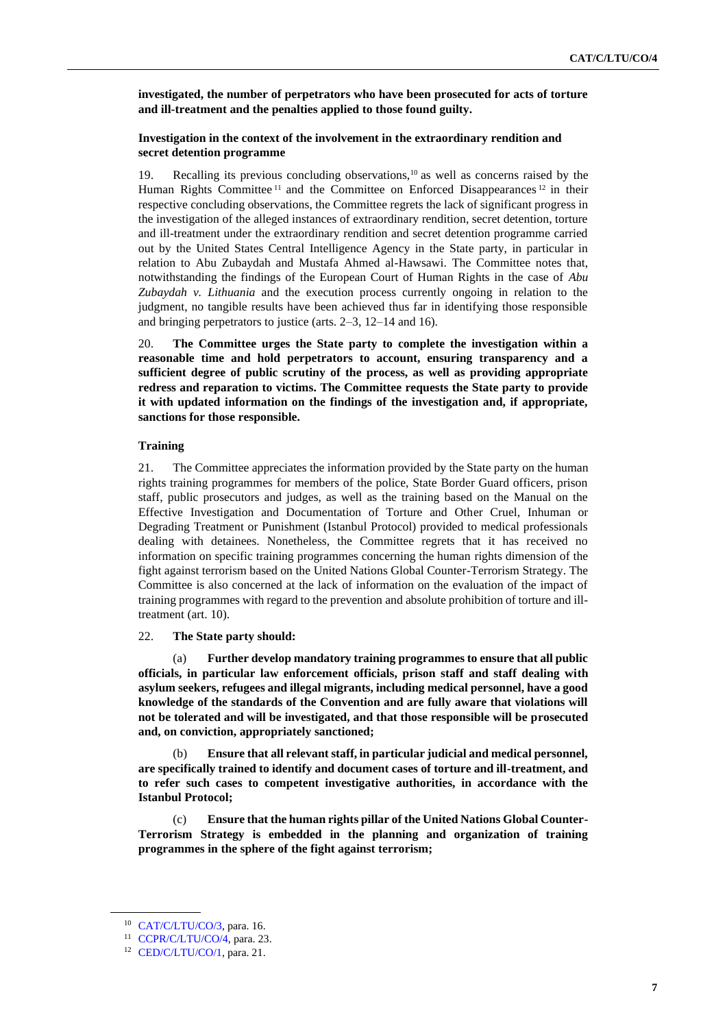**investigated, the number of perpetrators who have been prosecuted for acts of torture and ill-treatment and the penalties applied to those found guilty.**

#### **Investigation in the context of the involvement in the extraordinary rendition and secret detention programme**

19. Recalling its previous concluding observations,<sup>10</sup> as well as concerns raised by the Human Rights Committee  $11$  and the Committee on Enforced Disappearances  $12$  in their respective concluding observations, the Committee regrets the lack of significant progress in the investigation of the alleged instances of extraordinary rendition, secret detention, torture and ill-treatment under the extraordinary rendition and secret detention programme carried out by the United States Central Intelligence Agency in the State party, in particular in relation to Abu Zubaydah and Mustafa Ahmed al-Hawsawi. The Committee notes that, notwithstanding the findings of the European Court of Human Rights in the case of *Abu Zubaydah v. Lithuania* and the execution process currently ongoing in relation to the judgment, no tangible results have been achieved thus far in identifying those responsible and bringing perpetrators to justice (arts. 2–3, 12–14 and 16).

20. **The Committee urges the State party to complete the investigation within a reasonable time and hold perpetrators to account, ensuring transparency and a sufficient degree of public scrutiny of the process, as well as providing appropriate redress and reparation to victims. The Committee requests the State party to provide it with updated information on the findings of the investigation and, if appropriate, sanctions for those responsible.**

#### **Training**

21. The Committee appreciates the information provided by the State party on the human rights training programmes for members of the police, State Border Guard officers, prison staff, public prosecutors and judges, as well as the training based on the Manual on the Effective Investigation and Documentation of Torture and Other Cruel, Inhuman or Degrading Treatment or Punishment (Istanbul Protocol) provided to medical professionals dealing with detainees. Nonetheless, the Committee regrets that it has received no information on specific training programmes concerning the human rights dimension of the fight against terrorism based on the United Nations Global Counter-Terrorism Strategy. The Committee is also concerned at the lack of information on the evaluation of the impact of training programmes with regard to the prevention and absolute prohibition of torture and illtreatment (art. 10).

#### 22. **The State party should:**

(a) **Further develop mandatory training programmes to ensure that all public officials, in particular law enforcement officials, prison staff and staff dealing with asylum seekers, refugees and illegal migrants, including medical personnel, have a good knowledge of the standards of the Convention and are fully aware that violations will not be tolerated and will be investigated, and that those responsible will be prosecuted and, on conviction, appropriately sanctioned;**

(b) **Ensure that all relevant staff, in particular judicial and medical personnel, are specifically trained to identify and document cases of torture and ill-treatment, and to refer such cases to competent investigative authorities, in accordance with the Istanbul Protocol;**

(c) **Ensure that the human rights pillar of the United Nations Global Counter-Terrorism Strategy is embedded in the planning and organization of training programmes in the sphere of the fight against terrorism;**

<sup>10</sup> [CAT/C/LTU/CO/3,](http://undocs.org/en/CAT/C/LTU/CO/3) para. 16.

<sup>11</sup> [CCPR/C/LTU/CO/4,](http://undocs.org/en/CCPR/C/LTU/CO/4) para. 23.

<sup>12</sup> [CED/C/LTU/CO/1,](http://undocs.org/en/CED/C/LTU/CO/1) para. 21.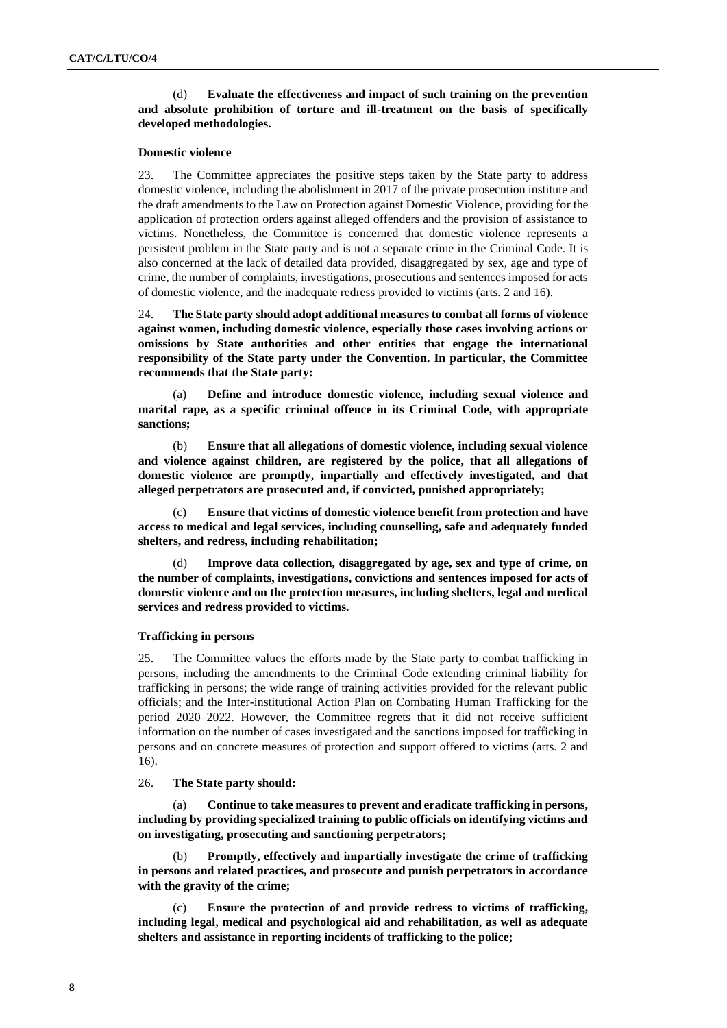#### (d) **Evaluate the effectiveness and impact of such training on the prevention and absolute prohibition of torture and ill-treatment on the basis of specifically developed methodologies.**

#### **Domestic violence**

23. The Committee appreciates the positive steps taken by the State party to address domestic violence, including the abolishment in 2017 of the private prosecution institute and the draft amendments to the Law on Protection against Domestic Violence, providing for the application of protection orders against alleged offenders and the provision of assistance to victims. Nonetheless, the Committee is concerned that domestic violence represents a persistent problem in the State party and is not a separate crime in the Criminal Code. It is also concerned at the lack of detailed data provided, disaggregated by sex, age and type of crime, the number of complaints, investigations, prosecutions and sentences imposed for acts of domestic violence, and the inadequate redress provided to victims (arts. 2 and 16).

24. **The State party should adopt additional measures to combat all forms of violence against women, including domestic violence, especially those cases involving actions or omissions by State authorities and other entities that engage the international responsibility of the State party under the Convention. In particular, the Committee recommends that the State party:**

(a) **Define and introduce domestic violence, including sexual violence and marital rape, as a specific criminal offence in its Criminal Code, with appropriate sanctions;**

(b) **Ensure that all allegations of domestic violence, including sexual violence and violence against children, are registered by the police, that all allegations of domestic violence are promptly, impartially and effectively investigated, and that alleged perpetrators are prosecuted and, if convicted, punished appropriately;** 

(c) **Ensure that victims of domestic violence benefit from protection and have access to medical and legal services, including counselling, safe and adequately funded shelters, and redress, including rehabilitation;**

(d) **Improve data collection, disaggregated by age, sex and type of crime, on the number of complaints, investigations, convictions and sentences imposed for acts of domestic violence and on the protection measures, including shelters, legal and medical services and redress provided to victims.** 

#### **Trafficking in persons**

25. The Committee values the efforts made by the State party to combat trafficking in persons, including the amendments to the Criminal Code extending criminal liability for trafficking in persons; the wide range of training activities provided for the relevant public officials; and the Inter-institutional Action Plan on Combating Human Trafficking for the period 2020–2022. However, the Committee regrets that it did not receive sufficient information on the number of cases investigated and the sanctions imposed for trafficking in persons and on concrete measures of protection and support offered to victims (arts. 2 and 16).

#### 26. **The State party should:**

(a) **Continue to take measures to prevent and eradicate trafficking in persons, including by providing specialized training to public officials on identifying victims and on investigating, prosecuting and sanctioning perpetrators;**

(b) **Promptly, effectively and impartially investigate the crime of trafficking in persons and related practices, and prosecute and punish perpetrators in accordance with the gravity of the crime;**

(c) **Ensure the protection of and provide redress to victims of trafficking, including legal, medical and psychological aid and rehabilitation, as well as adequate shelters and assistance in reporting incidents of trafficking to the police;**